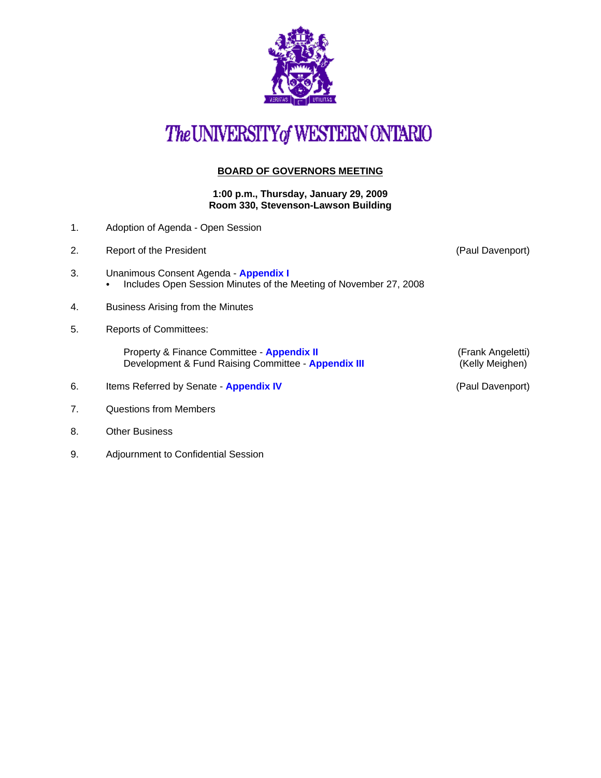

## The UNIVERSITY of WESTERN ONTARIO

## **BOARD OF GOVERNORS MEETING**

**1:00 p.m., Thursday, January 29, 2009 Room 330, Stevenson-Lawson Building**

- 1. Adoption of Agenda Open Session
- 2. Report of the President **Contract Contract Contract Contract Contract Contract Contract Contract Contract Contract Contract Contract Contract Contract Contract Contract Contract Contract Contract Contract Contract Contr** 3. Unanimous Consent Agenda - **[Appendix I](http://www.uwo.ca/univsec/board/minutes/2009/r0901consent.pdf)**  • Includes Open Session Minutes of the Meeting of November 27, 2008 4. Business Arising from the Minutes 5. Reports of Committees: Property & Finance Committee - **[Appendix II](http://www.uwo.ca/univsec/board/minutes/2009/r0901pf.pdf)** (Frank Angeletti)<br>Development & Fund Raising Committee - **Appendix III** (Kelly Meighen) Development & Fund Raising Committee - **[Appendix III](http://www.uwo.ca/univsec/board/minutes/2009/r0901dfr.pdf)** 6. Items Referred by Senate - **[Appendix IV](http://www.uwo.ca/univsec/board/minutes/2009/r0901sen.pdf)** (Paul Davenport)
- 7. Questions from Members
- 8. Other Business
- 9. Adjournment to Confidential Session